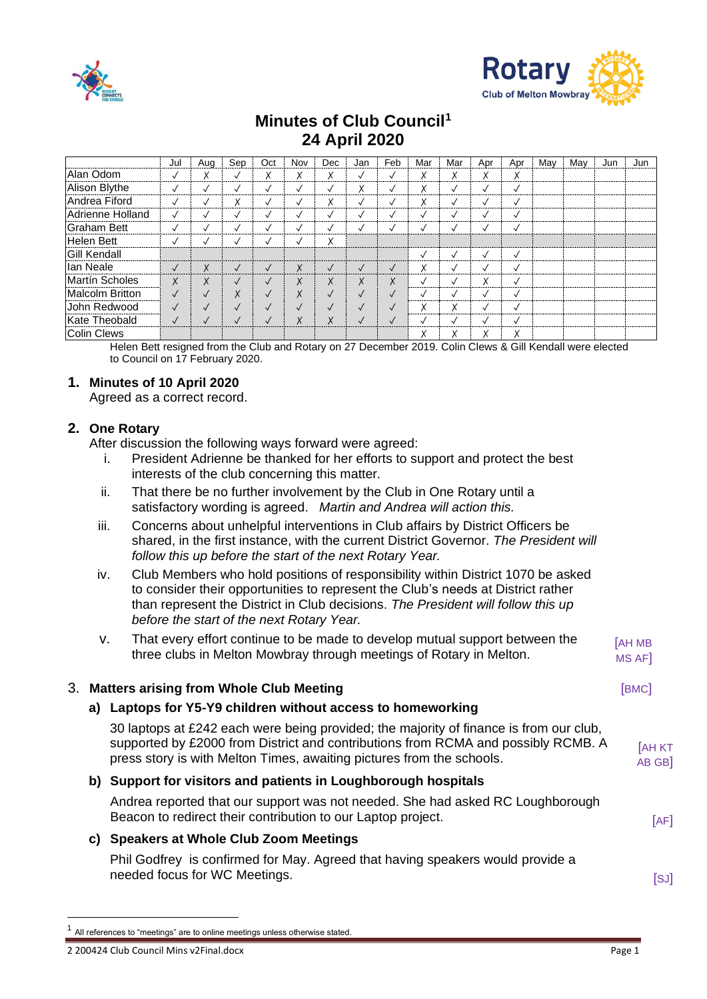



# **Minutes of Club Council<sup>1</sup> 24 April 2020**

|                        | Jul          | Aug          | Sep                      | Oct          | Nov          | Dec          | Jan          | Feb          | Mar               | Mar               | Apr          | Apr          | May | Mav | Jun | Jun |
|------------------------|--------------|--------------|--------------------------|--------------|--------------|--------------|--------------|--------------|-------------------|-------------------|--------------|--------------|-----|-----|-----|-----|
| Alan Odom              | $\checkmark$ | X            | $\checkmark$             | Χ            | Χ            | Χ            | √            | ✓            | Χ                 | v<br>^            | ∧            | Χ            |     |     |     |     |
| Alison Blythe          | $\checkmark$ | $\checkmark$ | $\checkmark$             | $\checkmark$ | √            | $\checkmark$ | Χ            | √            | Χ                 |                   | √            | $\checkmark$ |     |     |     |     |
| Andrea Fiford          | $\checkmark$ | $\checkmark$ | Χ                        | $\checkmark$ | √            | Χ            | √            | √            | $\checkmark$<br>v |                   |              | $\checkmark$ |     |     |     |     |
| Adrienne Holland       | $\checkmark$ | $\checkmark$ | $\checkmark$             | $\checkmark$ | $\checkmark$ | $\checkmark$ | $\checkmark$ | ✓            |                   |                   | $\cdot$      | $\checkmark$ |     |     |     |     |
| <b>Graham Bett</b>     | ✓            | $\checkmark$ | $\checkmark$             | √            | ✓            | √            | √            | √            |                   |                   | √            | $\checkmark$ |     |     |     |     |
| Helen Bett             | √            | $\checkmark$ | $\overline{\phantom{a}}$ | $\sqrt{}$    |              | Χ            |              |              |                   |                   |              |              |     |     |     |     |
| <b>Gill Kendall</b>    |              |              |                          |              |              |              |              |              |                   |                   | ✓            | $\checkmark$ |     |     |     |     |
| lan Neale              | $\checkmark$ | X            | $\sqrt{}$                | $\checkmark$ | X            | $\checkmark$ | $\checkmark$ | $\sqrt{ }$   | X                 |                   | $\cdot$      | $\checkmark$ |     |     |     |     |
| <b>Martín Scholes</b>  | X            | X            | $\sqrt{ }$               | $\checkmark$ | X            | X            | X            | Χ            |                   |                   | v<br>∧       | $\checkmark$ |     |     |     |     |
| <b>Malcolm Britton</b> | $\checkmark$ | $\sqrt{}$    | Χ                        | $\checkmark$ | X            | $\checkmark$ | $\checkmark$ | $\checkmark$ | ✓                 |                   | ✓            | $\checkmark$ |     |     |     |     |
| John Redwood           | $\sqrt{}$    | $\checkmark$ | $\sqrt{}$                | $\checkmark$ | $\checkmark$ | $\checkmark$ | $\checkmark$ | $\checkmark$ | $\checkmark$<br>∧ | $\checkmark$<br>∧ |              | $\checkmark$ |     |     |     |     |
| Kate Theobald          | $\checkmark$ | $\checkmark$ | √                        | $\checkmark$ | X            | X            | $\checkmark$ | $\sqrt{}$    |                   |                   | $\checkmark$ | $\checkmark$ |     |     |     |     |
| <b>Colin Clews</b>     |              |              |                          |              |              |              |              |              | ^                 | Λ                 | ∧            | х            |     |     |     |     |

Helen Bett resigned from the Club and Rotary on 27 December 2019. Colin Clews & Gill Kendall were elected to Council on 17 February 2020.

# **1. Minutes of 10 April 2020**

Agreed as a correct record.

# **2. One Rotary**

After discussion the following ways forward were agreed:

- i. President Adrienne be thanked for her efforts to support and protect the best interests of the club concerning this matter.
- ii. That there be no further involvement by the Club in One Rotary until a satisfactory wording is agreed. *Martin and Andrea will action this.*
- iii. Concerns about unhelpful interventions in Club affairs by District Officers be shared, in the first instance, with the current District Governor. *The President will follow this up before the start of the next Rotary Year.*
- iv. Club Members who hold positions of responsibility within District 1070 be asked to consider their opportunities to represent the Club's needs at District rather than represent the District in Club decisions. *The President will follow this up before the start of the next Rotary Year.*
- v. That every effort continue to be made to develop mutual support between the three clubs in Melton Mowbray through meetings of Rotary in Melton. [AH MB MS AF]

## **3. Matters arising from Whole Club Meeting and Club Server All Club Server All Club Server All Club Server All Club**

# **a) Laptops for Y5-Y9 children without access to homeworking**

30 laptops at £242 each were being provided; the majority of finance is from our club, supported by £2000 from District and contributions from RCMA and possibly RCMB. A press story is with Melton Times, awaiting pictures from the schools. **[AH KT** AB GB]

## **b) Support for visitors and patients in Loughborough hospitals**

Andrea reported that our support was not needed. She had asked RC Loughborough Beacon to redirect their contribution to our Laptop project. **Example 20 EXALL** EXAMPLE FIGHT

# **c) Speakers at Whole Club Zoom Meetings**

Phil Godfrey is confirmed for May. Agreed that having speakers would provide a needed focus for WC Meetings. **Example 20** and the set of the set of the set of the set of the set of the set of the set of the set of the set of the set of the set of the set of the set of the set of the set of the set of

<sup>1</sup> All references to "meetings" are to online meetings unless otherwise stated.